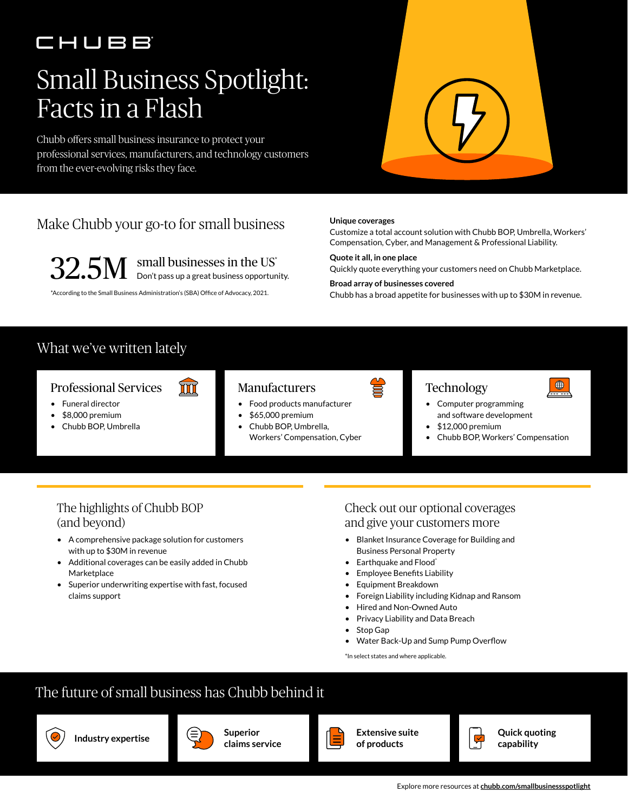## CHUBB

# Small Business Spotlight: Facts in a Flash

Chubb offers small business insurance to protect your professional services, manufacturers, and technology customers from the ever-evolving risks they face.



## Make Chubb your go-to for small business

 $32.5M$  small businesses in the US<sup>\*</sup> Don't pass up a great business opportunity.

ΠI

\*According to the Small Business Administration's (SBA) Office of Advocacy, 2021.

**Unique coverages**

Customize a total account solution with Chubb BOP, Umbrella, Workers' Compensation, Cyber, and Management & Professional Liability.

**Quote it all, in one place** Quickly quote everything your customers need on Chubb Marketplace. **Broad array of businesses covered**

Chubb has a broad appetite for businesses with up to \$30M in revenue.

### What we've written lately

#### Professional Services



- Funeral director
- \$8,000 premium
- Chubb BOP, Umbrella

#### Manufacturers

- Food products manufacturer
- \$65,000 premium
- Chubb BOP, Umbrella, Workers' Compensation, Cyber



### **Technology**



- Computer programming and software development
- $•$  \$12,000 premium
- Chubb BOP, Workers' Compensation

#### The highlights of Chubb BOP (and beyond)

- A comprehensive package solution for customers with up to \$30M in revenue
- Additional coverages can be easily added in Chubb **Marketplace**
- Superior underwriting expertise with fast, focused claims support

#### Check out our optional coverages and give your customers more

- Blanket Insurance Coverage for Building and Business Personal Property
- Earthquake and Flood\*
- Employee Benefits Liability
- Equipment Breakdown
- Foreign Liability including Kidnap and Ransom
- Hired and Non-Owned Auto
- Privacy Liability and Data Breach
- Stop Gap
- Water Back-Up and Sump Pump Overflow

\*In select states and where applicable.

## The future of small business has Chubb behind it



**Industry expertise Superior** 



**claims service**



**Extensive suite of products**